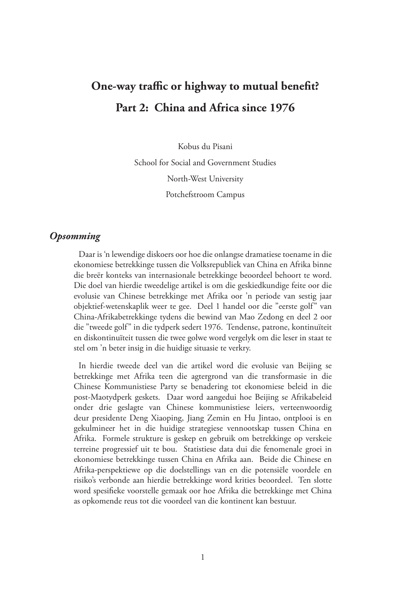# **One-way traffic or highway to mutual benefit? Part 2: China and Africa since 1976**

Kobus du Pisani School for Social and Government Studies North-West University Potchefstroom Campus

#### *Opsomming*

Daar is 'n lewendige diskoers oor hoe die onlangse dramatiese toename in die ekonomiese betrekkinge tussen die Volksrepubliek van China en Afrika binne die breër konteks van internasionale betrekkinge beoordeel behoort te word. Die doel van hierdie tweedelige artikel is om die geskiedkundige feite oor die evolusie van Chinese betrekkinge met Afrika oor 'n periode van sestig jaar objektief-wetenskaplik weer te gee. Deel 1 handel oor die "eerste golf" van China-Afrikabetrekkinge tydens die bewind van Mao Zedong en deel 2 oor die "tweede golf" in die tydperk sedert 1976. Tendense, patrone, kontinuïteit en diskontinuïteit tussen die twee golwe word vergelyk om die leser in staat te stel om 'n beter insig in die huidige situasie te verkry.

In hierdie tweede deel van die artikel word die evolusie van Beijing se betrekkinge met Afrika teen die agtergrond van die transformasie in die Chinese Kommunistiese Party se benadering tot ekonomiese beleid in die post-Maotydperk geskets. Daar word aangedui hoe Beijing se Afrikabeleid onder drie geslagte van Chinese kommunistiese leiers, verteenwoordig deur presidente Deng Xiaoping, Jiang Zemin en Hu Jintao, ontplooi is en gekulmineer het in die huidige strategiese vennootskap tussen China en Afrika. Formele strukture is geskep en gebruik om betrekkinge op verskeie terreine progressief uit te bou. Statistiese data dui die fenomenale groei in ekonomiese betrekkinge tussen China en Afrika aan. Beide die Chinese en Afrika-perspektiewe op die doelstellings van en die potensiële voordele en risiko's verbonde aan hierdie betrekkinge word krities beoordeel. Ten slotte word spesifieke voorstelle gemaak oor hoe Afrika die betrekkinge met China as opkomende reus tot die voordeel van die kontinent kan bestuur.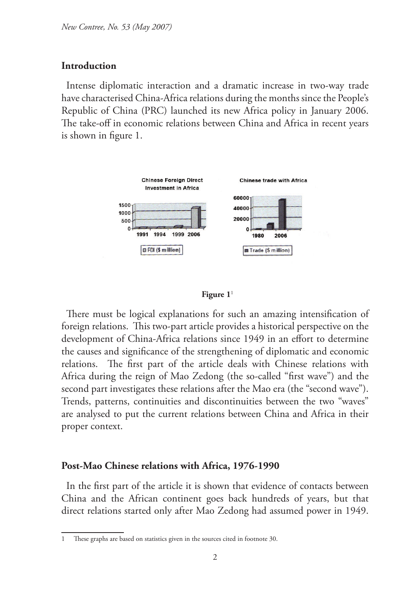### **Introduction**

Intense diplomatic interaction and a dramatic increase in two-way trade have characterised China-Africa relations during the months since the People's Republic of China (PRC) launched its new Africa policy in January 2006. The take-off in economic relations between China and Africa in recent years is shown in figure 1.





There must be logical explanations for such an amazing intensification of foreign relations. This two-part article provides a historical perspective on the development of China-Africa relations since 1949 in an effort to determine the causes and significance of the strengthening of diplomatic and economic relations. The first part of the article deals with Chinese relations with Africa during the reign of Mao Zedong (the so-called "first wave") and the second part investigates these relations after the Mao era (the "second wave"). Trends, patterns, continuities and discontinuities between the two "waves" are analysed to put the current relations between China and Africa in their proper context.

### **Post-Mao Chinese relations with Africa, 1976-1990**

In the first part of the article it is shown that evidence of contacts between China and the African continent goes back hundreds of years, but that direct relations started only after Mao Zedong had assumed power in 1949.

These graphs are based on statistics given in the sources cited in footnote 30.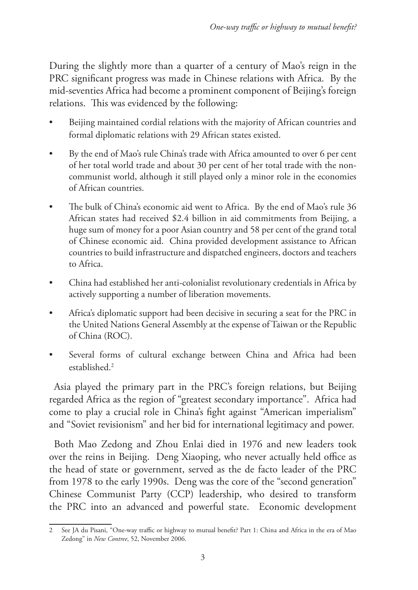During the slightly more than a quarter of a century of Mao's reign in the PRC significant progress was made in Chinese relations with Africa. By the mid-seventies Africa had become a prominent component of Beijing's foreign relations. This was evidenced by the following:

- Beijing maintained cordial relations with the majority of African countries and formal diplomatic relations with 29 African states existed.
- By the end of Mao's rule China's trade with Africa amounted to over 6 per cent of her total world trade and about 30 per cent of her total trade with the noncommunist world, although it still played only a minor role in the economies of African countries.
- The bulk of China's economic aid went to Africa. By the end of Mao's rule 36 African states had received \$2.4 billion in aid commitments from Beijing, a huge sum of money for a poor Asian country and 58 per cent of the grand total of Chinese economic aid. China provided development assistance to African countries to build infrastructure and dispatched engineers, doctors and teachers to Africa.
- China had established her anti-colonialist revolutionary credentials in Africa by actively supporting a number of liberation movements.
- Africa's diplomatic support had been decisive in securing a seat for the PRC in the United Nations General Assembly at the expense of Taiwan or the Republic of China (ROC).
- Several forms of cultural exchange between China and Africa had been established.<sup>2</sup>

Asia played the primary part in the PRC's foreign relations, but Beijing regarded Africa as the region of "greatest secondary importance". Africa had come to play a crucial role in China's fight against "American imperialism" and "Soviet revisionism" and her bid for international legitimacy and power.

Both Mao Zedong and Zhou Enlai died in 1976 and new leaders took over the reins in Beijing. Deng Xiaoping, who never actually held office as the head of state or government, served as the de facto leader of the PRC from 1978 to the early 1990s. Deng was the core of the "second generation" Chinese Communist Party (CCP) leadership, who desired to transform the PRC into an advanced and powerful state. Economic development

<sup>2</sup> See JA du Pisani, "One-way traffic or highway to mutual benefit? Part 1: China and Africa in the era of Mao Zedong" in *New Contree*, 52, November 2006.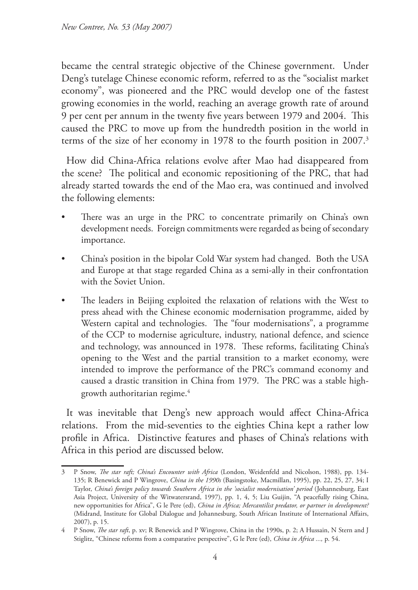became the central strategic objective of the Chinese government. Under Deng's tutelage Chinese economic reform, referred to as the "socialist market economy", was pioneered and the PRC would develop one of the fastest growing economies in the world, reaching an average growth rate of around 9 per cent per annum in the twenty five years between 1979 and 2004. This caused the PRC to move up from the hundredth position in the world in terms of the size of her economy in 1978 to the fourth position in 2007.<sup>3</sup>

How did China-Africa relations evolve after Mao had disappeared from the scene? The political and economic repositioning of the PRC, that had already started towards the end of the Mao era, was continued and involved the following elements:

- There was an urge in the PRC to concentrate primarily on China's own development needs. Foreign commitments were regarded as being of secondary importance.
- China's position in the bipolar Cold War system had changed. Both the USA and Europe at that stage regarded China as a semi-ally in their confrontation with the Soviet Union.
- The leaders in Beijing exploited the relaxation of relations with the West to press ahead with the Chinese economic modernisation programme, aided by Western capital and technologies. The "four modernisations", a programme of the CCP to modernise agriculture, industry, national defence, and science and technology, was announced in 1978. These reforms, facilitating China's opening to the West and the partial transition to a market economy, were intended to improve the performance of the PRC's command economy and caused a drastic transition in China from 1979. The PRC was a stable highgrowth authoritarian regime.4

It was inevitable that Deng's new approach would affect China-Africa relations. From the mid-seventies to the eighties China kept a rather low profile in Africa. Distinctive features and phases of China's relations with Africa in this period are discussed below.

<sup>3</sup> P Snow, *The star raft; China's Encounter with Africa* (London, Weidenfeld and Nicolson, 1988), pp. 134- 135; R Benewick and P Wingrove, *China in the 1990s* (Basingstoke, Macmillan, 1995), pp. 22, 25, 27, 34; I Taylor, *China's foreign policy towards Southern Africa in the 'socialist modernisation' period* (Johannesburg, East Asia Project, University of the Witwatersrand, 1997), pp. 1, 4, 5; Liu Guijin, "A peacefully rising China, new opportunities for Africa", G le Pere (ed), *China in Africa; Mercantilist predator, or partner in development?*  (Midrand, Institute for Global Dialogue and Johannesburg, South African Institute of International Affairs, 2007), p. 15.

<sup>4</sup> P Snow, *The star raft*, p. xv; R Benewick and P Wingrove, China in the 1990s, p. 2; A Hussain, N Stern and J Stiglitz, "Chinese reforms from a comparative perspective", G le Pere (ed), *China in Africa ...,* p. 54.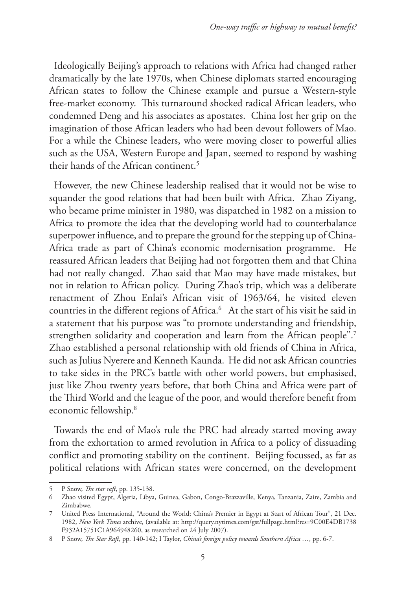Ideologically Beijing's approach to relations with Africa had changed rather dramatically by the late 1970s, when Chinese diplomats started encouraging African states to follow the Chinese example and pursue a Western-style free-market economy. This turnaround shocked radical African leaders, who condemned Deng and his associates as apostates. China lost her grip on the imagination of those African leaders who had been devout followers of Mao. For a while the Chinese leaders, who were moving closer to powerful allies such as the USA, Western Europe and Japan, seemed to respond by washing their hands of the African continent.<sup>5</sup>

However, the new Chinese leadership realised that it would not be wise to squander the good relations that had been built with Africa. Zhao Ziyang, who became prime minister in 1980, was dispatched in 1982 on a mission to Africa to promote the idea that the developing world had to counterbalance superpower influence, and to prepare the ground for the stepping up of China-Africa trade as part of China's economic modernisation programme. He reassured African leaders that Beijing had not forgotten them and that China had not really changed. Zhao said that Mao may have made mistakes, but not in relation to African policy. During Zhao's trip, which was a deliberate renactment of Zhou Enlai's African visit of 1963/64, he visited eleven countries in the different regions of Africa.6 At the start of his visit he said in a statement that his purpose was "to promote understanding and friendship, strengthen solidarity and cooperation and learn from the African people".<sup>7</sup> Zhao established a personal relationship with old friends of China in Africa, such as Julius Nyerere and Kenneth Kaunda. He did not ask African countries to take sides in the PRC's battle with other world powers, but emphasised, just like Zhou twenty years before, that both China and Africa were part of the Third World and the league of the poor, and would therefore benefit from economic fellowship.8

Towards the end of Mao's rule the PRC had already started moving away from the exhortation to armed revolution in Africa to a policy of dissuading conflict and promoting stability on the continent. Beijing focussed, as far as political relations with African states were concerned, on the development

<sup>5</sup> P Snow, *The star raft*, pp. 135-138.

<sup>6</sup> Zhao visited Egypt, Algeria, Libya, Guinea, Gabon, Congo-Brazzaville, Kenya, Tanzania, Zaire, Zambia and Zimbabwe.

<sup>7</sup> United Press International, "Around the World; China's Premier in Egypt at Start of African Tour", 21 Dec. 1982, *New York Times* archive, (available at: http://query.nytimes.com/gst/fullpage.html?res=9C00E4DB1738 F932A15751C1A964948260, as researched on 24 July 2007).

<sup>8</sup> P Snow, *The Star Raft*, pp. 140-142; I Taylor, *China's foreign policy towards Southern Africa …*, pp. 6-7.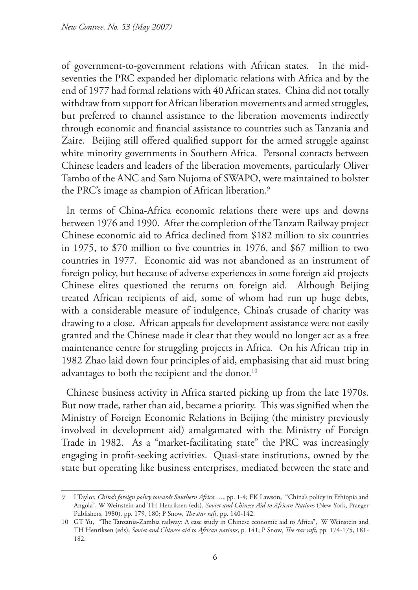of government-to-government relations with African states. In the midseventies the PRC expanded her diplomatic relations with Africa and by the end of 1977 had formal relations with 40 African states. China did not totally withdraw from support for African liberation movements and armed struggles, but preferred to channel assistance to the liberation movements indirectly through economic and financial assistance to countries such as Tanzania and Zaire. Beijing still offered qualified support for the armed struggle against white minority governments in Southern Africa. Personal contacts between Chinese leaders and leaders of the liberation movements, particularly Oliver Tambo of the ANC and Sam Nujoma of SWAPO, were maintained to bolster the PRC's image as champion of African liberation.<sup>9</sup>

In terms of China-Africa economic relations there were ups and downs between 1976 and 1990. After the completion of the Tanzam Railway project Chinese economic aid to Africa declined from \$182 million to six countries in 1975, to \$70 million to five countries in 1976, and \$67 million to two countries in 1977. Economic aid was not abandoned as an instrument of foreign policy, but because of adverse experiences in some foreign aid projects Chinese elites questioned the returns on foreign aid. Although Beijing treated African recipients of aid, some of whom had run up huge debts, with a considerable measure of indulgence, China's crusade of charity was drawing to a close. African appeals for development assistance were not easily granted and the Chinese made it clear that they would no longer act as a free maintenance centre for struggling projects in Africa. On his African trip in 1982 Zhao laid down four principles of aid, emphasising that aid must bring advantages to both the recipient and the donor.<sup>10</sup>

Chinese business activity in Africa started picking up from the late 1970s. But now trade, rather than aid, became a priority. This was signified when the Ministry of Foreign Economic Relations in Beijing (the ministry previously involved in development aid) amalgamated with the Ministry of Foreign Trade in 1982. As a "market-facilitating state" the PRC was increasingly engaging in profit-seeking activities. Quasi-state institutions, owned by the state but operating like business enterprises, mediated between the state and

<sup>9</sup> I Taylor, *China's foreign policy towards Southern Africa …*, pp. 1-4; EK Lawson, "China's policy in Ethiopia and Angola", W Weinstein and TH Henriksen (eds), *Soviet and Chinese Aid to African Nations* (New York, Praeger Publishers, 1980), pp. 179, 180; P Snow, *The star raft*, pp. 140-142.

<sup>10</sup> GT Yu, "The Tanzania-Zambia railway: A case study in Chinese economic aid to Africa", W Weinstein and TH Henriksen (eds), *Soviet and Chinese aid to African nations*, p. 141; P Snow, *The star raft*, pp. 174-175, 181- 182.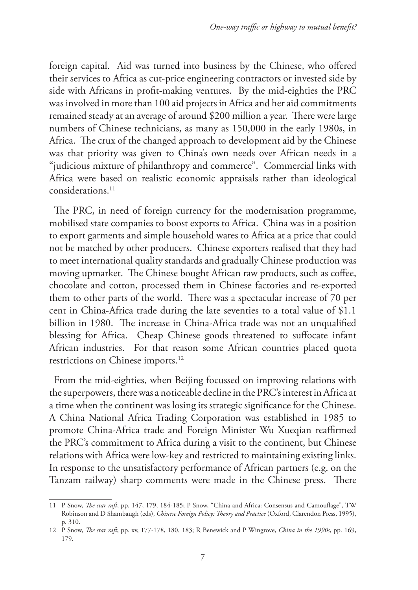foreign capital. Aid was turned into business by the Chinese, who offered their services to Africa as cut-price engineering contractors or invested side by side with Africans in profit-making ventures. By the mid-eighties the PRC was involved in more than 100 aid projects in Africa and her aid commitments remained steady at an average of around \$200 million a year. There were large numbers of Chinese technicians, as many as 150,000 in the early 1980s, in Africa. The crux of the changed approach to development aid by the Chinese was that priority was given to China's own needs over African needs in a "judicious mixture of philanthropy and commerce". Commercial links with Africa were based on realistic economic appraisals rather than ideological considerations.11

The PRC, in need of foreign currency for the modernisation programme, mobilised state companies to boost exports to Africa. China was in a position to export garments and simple household wares to Africa at a price that could not be matched by other producers. Chinese exporters realised that they had to meet international quality standards and gradually Chinese production was moving upmarket. The Chinese bought African raw products, such as coffee, chocolate and cotton, processed them in Chinese factories and re-exported them to other parts of the world. There was a spectacular increase of 70 per cent in China-Africa trade during the late seventies to a total value of \$1.1 billion in 1980. The increase in China-Africa trade was not an unqualified blessing for Africa. Cheap Chinese goods threatened to suffocate infant African industries. For that reason some African countries placed quota restrictions on Chinese imports.<sup>12</sup>

From the mid-eighties, when Beijing focussed on improving relations with the superpowers, there was a noticeable decline in the PRC's interest in Africa at a time when the continent was losing its strategic significance for the Chinese. A China National Africa Trading Corporation was established in 1985 to promote China-Africa trade and Foreign Minister Wu Xueqian reaffirmed the PRC's commitment to Africa during a visit to the continent, but Chinese relations with Africa were low-key and restricted to maintaining existing links. In response to the unsatisfactory performance of African partners (e.g. on the Tanzam railway) sharp comments were made in the Chinese press. There

<sup>11</sup> P Snow, *The star raft*, pp. 147, 179, 184-185; P Snow, "China and Africa: Consensus and Camouflage", TW Robinson and D Shambaugh (eds), *Chinese Foreign Policy: Theory and Practice* (Oxford, Clarendon Press, 1995), p. 310.

<sup>12</sup> P Snow, *The star raft*, pp. xv, 177-178, 180, 183; R Benewick and P Wingrove, *China in the 1990s*, pp. 169, 179.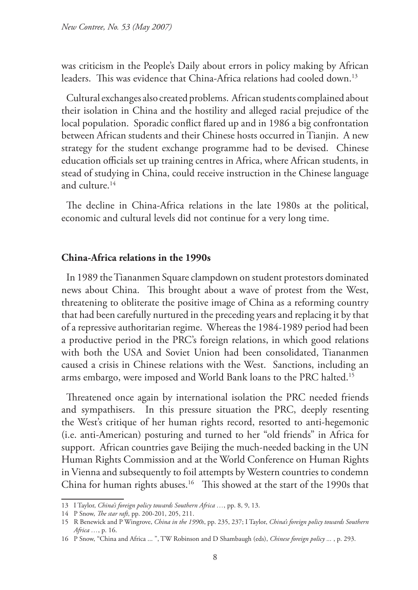was criticism in the People's Daily about errors in policy making by African leaders. This was evidence that China-Africa relations had cooled down.13

Cultural exchanges also created problems. African students complained about their isolation in China and the hostility and alleged racial prejudice of the local population. Sporadic conflict flared up and in 1986 a big confrontation between African students and their Chinese hosts occurred in Tianjin. A new strategy for the student exchange programme had to be devised. Chinese education officials set up training centres in Africa, where African students, in stead of studying in China, could receive instruction in the Chinese language and culture.14

The decline in China-Africa relations in the late 1980s at the political, economic and cultural levels did not continue for a very long time.

#### **China-Africa relations in the 1990s**

In 1989 the Tiananmen Square clampdown on student protestors dominated news about China. This brought about a wave of protest from the West, threatening to obliterate the positive image of China as a reforming country that had been carefully nurtured in the preceding years and replacing it by that of a repressive authoritarian regime. Whereas the 1984-1989 period had been a productive period in the PRC's foreign relations, in which good relations with both the USA and Soviet Union had been consolidated, Tiananmen caused a crisis in Chinese relations with the West. Sanctions, including an arms embargo, were imposed and World Bank loans to the PRC halted.15

Threatened once again by international isolation the PRC needed friends and sympathisers. In this pressure situation the PRC, deeply resenting the West's critique of her human rights record, resorted to anti-hegemonic (i.e. anti-American) posturing and turned to her "old friends" in Africa for support. African countries gave Beijing the much-needed backing in the UN Human Rights Commission and at the World Conference on Human Rights in Vienna and subsequently to foil attempts by Western countries to condemn China for human rights abuses.<sup>16</sup> This showed at the start of the 1990s that

<sup>13</sup> I Taylor, *China's foreign policy towards Southern Africa …*, pp. 8, 9, 13.

<sup>14</sup> P Snow, *The star raft*, pp. 200-201, 205, 211.

<sup>15</sup> R Benewick and P Wingrove, *China in the 1990s*, pp. 235, 237; I Taylor, *China's foreign policy towards Southern Africa …*, p. 16.

<sup>16</sup> P Snow, "China and Africa ... ", TW Robinson and D Shambaugh (eds), *Chinese foreign policy ...* , p. 293.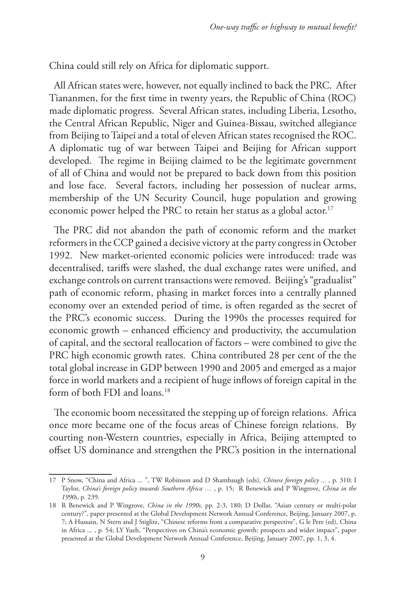China could still rely on Africa for diplomatic support.

All African states were, however, not equally inclined to back the PRC. After Tiananmen, for the first time in twenty years, the Republic of China (ROC) made diplomatic progress. Several African states, including Liberia, Lesotho, the Central African Republic, Niger and Guinea-Bissau, switched allegiance from Beijing to Taipei and a total of eleven African states recognised the ROC. A diplomatic tug of war between Taipei and Beijing for African support developed. The regime in Beijing claimed to be the legitimate government of all of China and would not be prepared to back down from this position and lose face. Several factors, including her possession of nuclear arms, membership of the UN Security Council, huge population and growing economic power helped the PRC to retain her status as a global actor.<sup>17</sup>

The PRC did not abandon the path of economic reform and the market reformers in the CCP gained a decisive victory at the party congress in October 1992. New market-oriented economic policies were introduced: trade was decentralised, tariffs were slashed, the dual exchange rates were unified, and exchange controls on current transactions were removed. Beijing's "gradualist" path of economic reform, phasing in market forces into a centrally planned economy over an extended period of time, is often regarded as the secret of the PRC's economic success. During the 1990s the processes required for economic growth – enhanced efficiency and productivity, the accumulation of capital, and the sectoral reallocation of factors – were combined to give the PRC high economic growth rates. China contributed 28 per cent of the the total global increase in GDP between 1990 and 2005 and emerged as a major force in world markets and a recipient of huge inflows of foreign capital in the form of both FDI and loans.<sup>18</sup>

The economic boom necessitated the stepping up of foreign relations. Africa once more became one of the focus areas of Chinese foreign relations. By courting non-Western countries, especially in Africa, Beijing attempted to offset US dominance and strengthen the PRC's position in the international

<sup>17</sup> P Snow, "China and Africa ... ", TW Robinson and D Shambaugh (eds), *Chinese foreign policy ...* , p. 310; I Taylor, *China's foreign policy towards Southern Africa …* , p. 15; R Benewick and P Wingrove, *China in the 1990s*, p. 239.

<sup>18</sup> R Benewick and P Wingrove, *China in the 1990s*, pp. 2-3, 180; D Dollar, "Asian century or multi-polar century?", paper presented at the Global Development Network Annual Conference, Beijing, January 2007, p. 7; A Hussain, N Stern and J Stiglitz, "Chinese reforms from a comparative perspective", G le Pere (ed), China in Africa ... , p. 54; LY Yueh, "Perspectives on China's economic growth: prospects and wider impact", paper presented at the Global Development Network Annual Conference, Beijing, January 2007, pp. 1, 3, 4.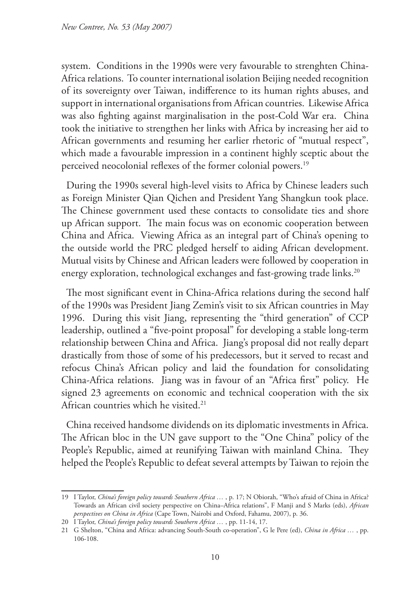system. Conditions in the 1990s were very favourable to strenghten China-Africa relations. To counter international isolation Beijing needed recognition of its sovereignty over Taiwan, indifference to its human rights abuses, and support in international organisations from African countries. Likewise Africa was also fighting against marginalisation in the post-Cold War era. China took the initiative to strengthen her links with Africa by increasing her aid to African governments and resuming her earlier rhetoric of "mutual respect", which made a favourable impression in a continent highly sceptic about the perceived neocolonial reflexes of the former colonial powers.<sup>19</sup>

During the 1990s several high-level visits to Africa by Chinese leaders such as Foreign Minister Qian Qichen and President Yang Shangkun took place. The Chinese government used these contacts to consolidate ties and shore up African support. The main focus was on economic cooperation between China and Africa. Viewing Africa as an integral part of China's opening to the outside world the PRC pledged herself to aiding African development. Mutual visits by Chinese and African leaders were followed by cooperation in energy exploration, technological exchanges and fast-growing trade links.<sup>20</sup>

The most significant event in China-Africa relations during the second half of the 1990s was President Jiang Zemin's visit to six African countries in May 1996. During this visit Jiang, representing the "third generation" of CCP leadership, outlined a "five-point proposal" for developing a stable long-term relationship between China and Africa. Jiang's proposal did not really depart drastically from those of some of his predecessors, but it served to recast and refocus China's African policy and laid the foundation for consolidating China-Africa relations. Jiang was in favour of an "Africa first" policy. He signed 23 agreements on economic and technical cooperation with the six African countries which he visited.<sup>21</sup>

China received handsome dividends on its diplomatic investments in Africa. The African bloc in the UN gave support to the "One China" policy of the People's Republic, aimed at reunifying Taiwan with mainland China. They helped the People's Republic to defeat several attempts by Taiwan to rejoin the

<sup>19</sup> I Taylor, *China's foreign policy towards Southern Africa …* , p. 17; N Obiorah, "Who's afraid of China in Africa? Towards an African civil society perspective on China–Africa relations", F Manji and S Marks (eds), *African perspectives on China in Africa* (Cape Town, Nairobi and Oxford, Fahamu, 2007), p. 36.

<sup>20</sup> I Taylor, *China's foreign policy towards Southern Africa …* , pp. 11-14, 17.

<sup>21</sup> G Shelton, "China and Africa: advancing South-South co-operation", G le Pere (ed), *China in Africa …* , pp. 106-108.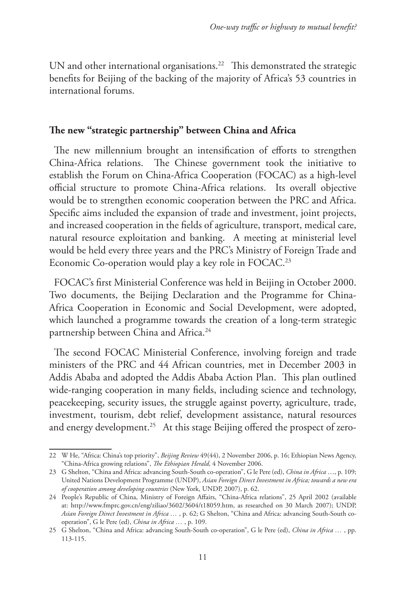UN and other international organisations.<sup>22</sup> This demonstrated the strategic benefits for Beijing of the backing of the majority of Africa's 53 countries in international forums.

#### **The new "strategic partnership" between China and Africa**

The new millennium brought an intensification of efforts to strengthen China-Africa relations. The Chinese government took the initiative to establish the Forum on China-Africa Cooperation (FOCAC) as a high-level official structure to promote China-Africa relations. Its overall objective would be to strengthen economic cooperation between the PRC and Africa. Specific aims included the expansion of trade and investment, joint projects, and increased cooperation in the fields of agriculture, transport, medical care, natural resource exploitation and banking. A meeting at ministerial level would be held every three years and the PRC's Ministry of Foreign Trade and Economic Co-operation would play a key role in FOCAC.<sup>23</sup>

FOCAC's first Ministerial Conference was held in Beijing in October 2000. Two documents, the Beijing Declaration and the Programme for China-Africa Cooperation in Economic and Social Development, were adopted, which launched a programme towards the creation of a long-term strategic partnership between China and Africa.<sup>24</sup>

The second FOCAC Ministerial Conference, involving foreign and trade ministers of the PRC and 44 African countries, met in December 2003 in Addis Ababa and adopted the Addis Ababa Action Plan. This plan outlined wide-ranging cooperation in many fields, including science and technology, peacekeeping, security issues, the struggle against poverty, agriculture, trade, investment, tourism, debt relief, development assistance, natural resources and energy development.<sup>25</sup> At this stage Beijing offered the prospect of zero-

<sup>22</sup> W He, "Africa: China's top priority", *Beijing Review* 49(44), 2 November 2006, p. 16; Ethiopian News Agency, "China-Africa growing relations", *The Ethiopian Herald*, 4 November 2006.

<sup>23</sup> G Shelton, "China and Africa: advancing South-South co-operation", G le Pere (ed), *China in Africa* …, p. 109; United Nations Development Programme (UNDP), *Asian Foreign Direct Investment in Africa; towards a new era of cooperation among developing countries* (New York, UNDP, 2007), p. 62.

<sup>24</sup> People's Republic of China, Ministry of Foreign Affairs, "China-Africa relations", 25 April 2002 (available at: http://www.fmprc.gov.cn/eng/ziliao/3602/3604/t18059.htm, as researched on 30 March 2007); UNDP, *Asian Foreign Direct Investment in Africa …* , p. 62; G Shelton, "China and Africa: advancing South-South cooperation", G le Pere (ed), *China in Africa …* , p. 109.

<sup>25</sup> G Shelton, "China and Africa: advancing South-South co-operation", G le Pere (ed), *China in Africa …* , pp. 113-115.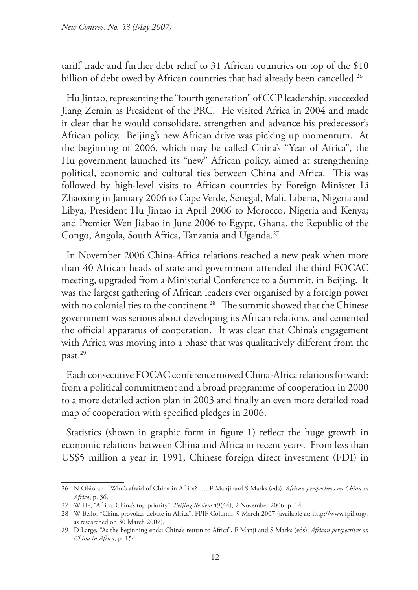tariff trade and further debt relief to 31 African countries on top of the \$10 billion of debt owed by African countries that had already been cancelled.<sup>26</sup>

Hu Jintao, representing the "fourth generation" of CCP leadership, succeeded Jiang Zemin as President of the PRC. He visited Africa in 2004 and made it clear that he would consolidate, strengthen and advance his predecessor's African policy. Beijing's new African drive was picking up momentum. At the beginning of 2006, which may be called China's "Year of Africa", the Hu government launched its "new" African policy, aimed at strengthening political, economic and cultural ties between China and Africa. This was followed by high-level visits to African countries by Foreign Minister Li Zhaoxing in January 2006 to Cape Verde, Senegal, Mali, Liberia, Nigeria and Libya; President Hu Jintao in April 2006 to Morocco, Nigeria and Kenya; and Premier Wen Jiabao in June 2006 to Egypt, Ghana, the Republic of the Congo, Angola, South Africa, Tanzania and Uganda.27

In November 2006 China-Africa relations reached a new peak when more than 40 African heads of state and government attended the third FOCAC meeting, upgraded from a Ministerial Conference to a Summit, in Beijing. It was the largest gathering of African leaders ever organised by a foreign power with no colonial ties to the continent.<sup>28</sup> The summit showed that the Chinese government was serious about developing its African relations, and cemented the official apparatus of cooperation. It was clear that China's engagement with Africa was moving into a phase that was qualitatively different from the past.29

Each consecutive FOCAC conference moved China-Africa relations forward: from a political commitment and a broad programme of cooperation in 2000 to a more detailed action plan in 2003 and finally an even more detailed road map of cooperation with specified pledges in 2006.

Statistics (shown in graphic form in figure 1) reflect the huge growth in economic relations between China and Africa in recent years. From less than US\$5 million a year in 1991, Chinese foreign direct investment (FDI) in

<sup>26</sup> N Obiorah, "Who's afraid of China in Africa? …, F Manji and S Marks (eds), *African perspectives on China in Africa*, p. 36.

<sup>27</sup> W He, "Africa: China's top priority", *Beijing Review* 49(44), 2 November 2006, p. 14.

<sup>28</sup> W Bello, "China provokes debate in Africa", FPIF Column, 9 March 2007 (available at: http://www.fpif.org/, as researched on 30 March 2007).

<sup>29</sup> D Large, "As the beginning ends: China's return to Africa", F Manji and S Marks (eds), *African perspectives on China in Africa*, p. 154.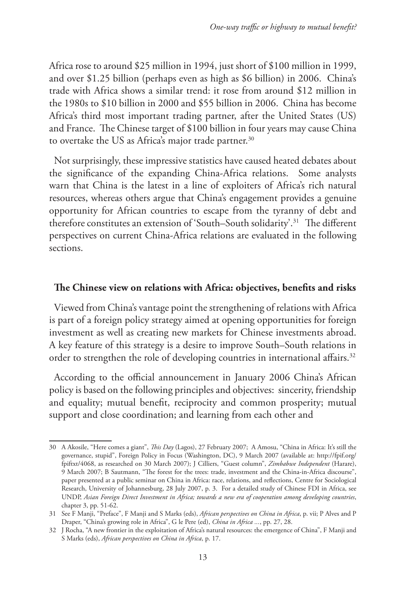Africa rose to around \$25 million in 1994, just short of \$100 million in 1999, and over \$1.25 billion (perhaps even as high as \$6 billion) in 2006. China's trade with Africa shows a similar trend: it rose from around \$12 million in the 1980s to \$10 billion in 2000 and \$55 billion in 2006. China has become Africa's third most important trading partner, after the United States (US) and France. The Chinese target of \$100 billion in four years may cause China to overtake the US as Africa's major trade partner.<sup>30</sup>

Not surprisingly, these impressive statistics have caused heated debates about the significance of the expanding China-Africa relations. Some analysts warn that China is the latest in a line of exploiters of Africa's rich natural resources, whereas others argue that China's engagement provides a genuine opportunity for African countries to escape from the tyranny of debt and therefore constitutes an extension of 'South–South solidarity'.31 The different perspectives on current China-Africa relations are evaluated in the following sections.

### **The Chinese view on relations with Africa: objectives, benefits and risks**

Viewed from China's vantage point the strengthening of relations with Africa is part of a foreign policy strategy aimed at opening opportunities for foreign investment as well as creating new markets for Chinese investments abroad. A key feature of this strategy is a desire to improve South–South relations in order to strengthen the role of developing countries in international affairs.<sup>32</sup>

According to the official announcement in January 2006 China's African policy is based on the following principles and objectives: sincerity, friendship and equality; mutual benefit, reciprocity and common prosperity; mutual support and close coordination; and learning from each other and

<sup>30</sup> A Akosile, "Here comes a giant", *This Day* (Lagos), 27 February 2007; A Amosu, "China in Africa: It's still the governance, stupid", Foreign Policy in Focus (Washington, DC), 9 March 2007 (available at: http://fpif.org/ fpiftxt/4068, as researched on 30 March 2007); J Cilliers, "Guest column", *Zimbabwe Independent* (Harare), 9 March 2007; B Sautmann, "The forest for the trees: trade, investment and the China-in-Africa discourse", paper presented at a public seminar on China in Africa: race, relations, and reflections, Centre for Sociological Research, University of Johannesburg, 28 July 2007, p. 3. For a detailed study of Chinese FDI in Africa, see UNDP, *Asian Foreign Direct Investment in Africa; towards a new era of cooperation among developing countries*, chapter 3, pp. 51-62.

<sup>31</sup> See F Manji, "Preface", F Manji and S Marks (eds), *African perspectives on China in Africa*, p. vii; P Alves and P Draper, "China's growing role in Africa", G le Pere (ed), *China in Africa ...*, pp. 27, 28.

<sup>32</sup> J Rocha, "A new frontier in the exploitation of Africa's natural resources: the emergence of China", F Manji and S Marks (eds), *African perspectives on China in Africa*, p. 17.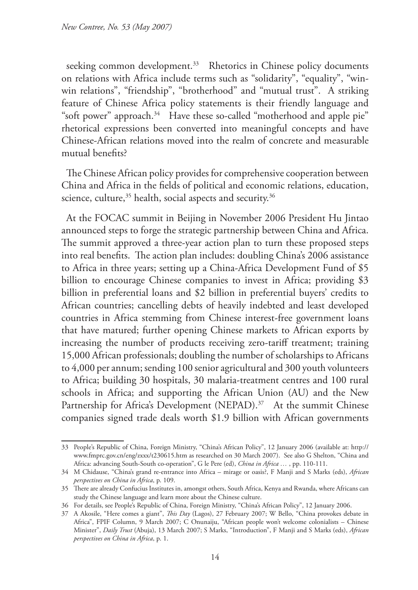seeking common development.<sup>33</sup> Rhetorics in Chinese policy documents on relations with Africa include terms such as "solidarity", "equality", "winwin relations", "friendship", "brotherhood" and "mutual trust". A striking feature of Chinese Africa policy statements is their friendly language and "soft power" approach.<sup>34</sup> Have these so-called "motherhood and apple pie" rhetorical expressions been converted into meaningful concepts and have Chinese-African relations moved into the realm of concrete and measurable mutual benefits?

The Chinese African policy provides for comprehensive cooperation between China and Africa in the fields of political and economic relations, education, science, culture,<sup>35</sup> health, social aspects and security.<sup>36</sup>

At the FOCAC summit in Beijing in November 2006 President Hu Jintao announced steps to forge the strategic partnership between China and Africa. The summit approved a three-year action plan to turn these proposed steps into real benefits. The action plan includes: doubling China's 2006 assistance to Africa in three years; setting up a China-Africa Development Fund of \$5 billion to encourage Chinese companies to invest in Africa; providing \$3 billion in preferential loans and \$2 billion in preferential buyers' credits to African countries; cancelling debts of heavily indebted and least developed countries in Africa stemming from Chinese interest-free government loans that have matured; further opening Chinese markets to African exports by increasing the number of products receiving zero-tariff treatment; training 15,000 African professionals; doubling the number of scholarships to Africans to 4,000 per annum; sending 100 senior agricultural and 300 youth volunteers to Africa; building 30 hospitals, 30 malaria-treatment centres and 100 rural schools in Africa; and supporting the African Union (AU) and the New Partnership for Africa's Development (NEPAD).<sup>37</sup> At the summit Chinese companies signed trade deals worth \$1.9 billion with African governments

<sup>33</sup> People's Republic of China, Foreign Ministry, "China's African Policy", 12 January 2006 (available at: http:// www.fmprc.gov.cn/eng/zxxx/t230615.htm as researched on 30 March 2007). See also G Shelton, "China and Africa: advancing South-South co-operation", G le Pere (ed), *China in Africa …* , pp. 110-111.

<sup>34</sup> M Chidause, "China's grand re-entrance into Africa – mirage or oasis?, F Manji and S Marks (eds), *African perspectives on China in Africa*, p. 109.

<sup>35</sup> There are already Confucius Institutes in, amongst others, South Africa, Kenya and Rwanda, where Africans can study the Chinese language and learn more about the Chinese culture.

<sup>36</sup> For details, see People's Republic of China, Foreign Ministry, "China's African Policy", 12 January 2006.

<sup>37</sup> A Akosile, "Here comes a giant", *This Day* (Lagos), 27 February 2007; W Bello, "China provokes debate in Africa", FPIF Column, 9 March 2007; C Onunaiju, "African people won't welcome colonialists – Chinese Minister", *Daily Trust* (Abuja), 13 March 2007; S Marks, "Introduction", F Manji and S Marks (eds), *African perspectives on China in Africa*, p. 1.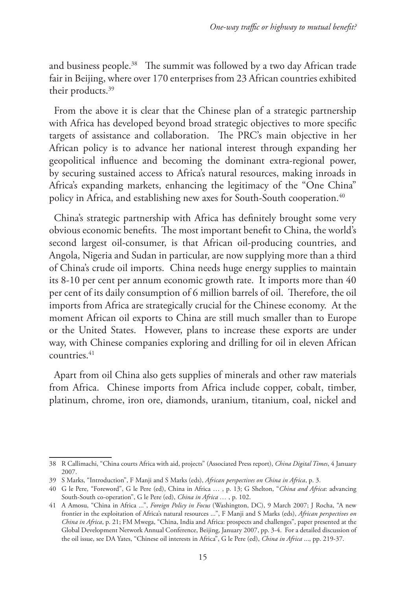and business people.<sup>38</sup> The summit was followed by a two day African trade fair in Beijing, where over 170 enterprises from 23 African countries exhibited their products.<sup>39</sup>

From the above it is clear that the Chinese plan of a strategic partnership with Africa has developed beyond broad strategic objectives to more specific targets of assistance and collaboration. The PRC's main objective in her African policy is to advance her national interest through expanding her geopolitical influence and becoming the dominant extra-regional power, by securing sustained access to Africa's natural resources, making inroads in Africa's expanding markets, enhancing the legitimacy of the "One China" policy in Africa, and establishing new axes for South-South cooperation.<sup>40</sup>

China's strategic partnership with Africa has definitely brought some very obvious economic benefits. The most important benefit to China, the world's second largest oil-consumer, is that African oil-producing countries, and Angola, Nigeria and Sudan in particular, are now supplying more than a third of China's crude oil imports. China needs huge energy supplies to maintain its 8-10 per cent per annum economic growth rate. It imports more than 40 per cent of its daily consumption of 6 million barrels of oil. Therefore, the oil imports from Africa are strategically crucial for the Chinese economy. At the moment African oil exports to China are still much smaller than to Europe or the United States. However, plans to increase these exports are under way, with Chinese companies exploring and drilling for oil in eleven African countries.41

Apart from oil China also gets supplies of minerals and other raw materials from Africa. Chinese imports from Africa include copper, cobalt, timber, platinum, chrome, iron ore, diamonds, uranium, titanium, coal, nickel and

<sup>38</sup> R Callimachi, "China courts Africa with aid, projects" (Associated Press report), *China Digital Times*, 4 January 2007.

<sup>39</sup> S Marks, "Introduction", F Manji and S Marks (eds), *African perspectives on China in Africa*, p. 3.

<sup>40</sup> G le Pere, "Foreword", G le Pere (ed), China in Africa … , p. 13; G Shelton, "*China and Africa*: advancing South-South co-operation", G le Pere (ed), *China in Africa …* , p. 102.

<sup>41</sup> A Amosu, "China in Africa ...", *Foreign Policy in Focus* (Washington, DC), 9 March 2007; J Rocha, "A new frontier in the exploitation of Africa's natural resources ...", F Manji and S Marks (eds), *African perspectives on China in Africa*, p. 21; FM Mwega, "China, India and Africa: prospects and challenges", paper presented at the Global Development Network Annual Conference, Beijing, January 2007, pp. 3-4. For a detailed discussion of the oil issue, see DA Yates, "Chinese oil interests in Africa", G le Pere (ed), *China in Africa* ..., pp. 219-37.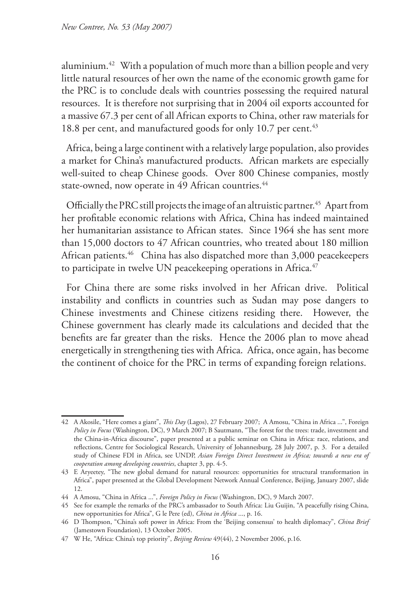aluminium.42 With a population of much more than a billion people and very little natural resources of her own the name of the economic growth game for the PRC is to conclude deals with countries possessing the required natural resources. It is therefore not surprising that in 2004 oil exports accounted for a massive 67.3 per cent of all African exports to China, other raw materials for 18.8 per cent, and manufactured goods for only 10.7 per cent.<sup>43</sup>

Africa, being a large continent with a relatively large population, also provides a market for China's manufactured products. African markets are especially well-suited to cheap Chinese goods. Over 800 Chinese companies, mostly state-owned, now operate in 49 African countries.<sup>44</sup>

Officially the PRC still projects the image of an altruistic partner.<sup>45</sup> Apart from her profitable economic relations with Africa, China has indeed maintained her humanitarian assistance to African states. Since 1964 she has sent more than 15,000 doctors to 47 African countries, who treated about 180 million African patients.<sup>46</sup> China has also dispatched more than 3,000 peacekeepers to participate in twelve UN peacekeeping operations in Africa.<sup>47</sup>

For China there are some risks involved in her African drive. Political instability and conflicts in countries such as Sudan may pose dangers to Chinese investments and Chinese citizens residing there. However, the Chinese government has clearly made its calculations and decided that the benefits are far greater than the risks. Hence the 2006 plan to move ahead energetically in strengthening ties with Africa. Africa, once again, has become the continent of choice for the PRC in terms of expanding foreign relations.

<sup>42</sup> A Akosile, "Here comes a giant", *This Day* (Lagos), 27 February 2007; A Amosu, "China in Africa ...", Foreign *Policy in Focus* (Washington, DC), 9 March 2007; B Sautmann, "The forest for the trees: trade, investment and the China-in-Africa discourse", paper presented at a public seminar on China in Africa: race, relations, and reflections, Centre for Sociological Research, University of Johannesburg, 28 July 2007, p. 3. For a detailed study of Chinese FDI in Africa, see UNDP, *Asian Foreign Direct Investment in Africa; towards a new era of cooperation among developing countries*, chapter 3, pp. 4-5.

<sup>43</sup> E Aryeetey, "The new global demand for natural resources: opportunities for structural transformation in Africa", paper presented at the Global Development Network Annual Conference, Beijing, January 2007, slide 12.

<sup>44</sup> A Amosu, "China in Africa ...", *Foreign Policy in Focus* (Washington, DC), 9 March 2007.

<sup>45</sup> See for example the remarks of the PRC's ambassador to South Africa: Liu Guijin, "A peacefully rising China, new opportunities for Africa", G le Pere (ed), *China in Africa* ..., p. 16.

<sup>46</sup> D Thompson, "China's soft power in Africa: From the 'Beijing consensus' to health diplomacy", *China Brief*  (Jamestown Foundation), 13 October 2005.

<sup>47</sup> W He, "Africa: China's top priority", *Beijing Review* 49(44), 2 November 2006, p.16.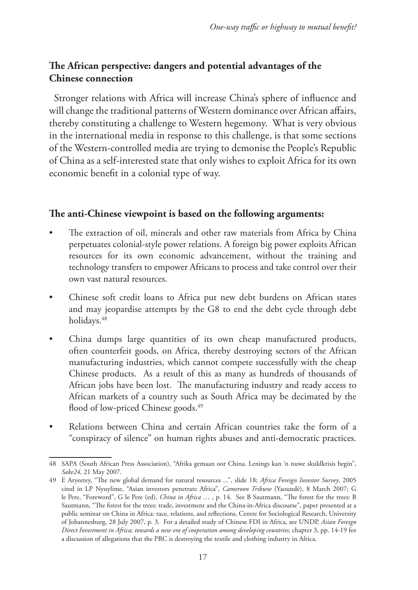# **The African perspective: dangers and potential advantages of the Chinese connection**

Stronger relations with Africa will increase China's sphere of influence and will change the traditional patterns of Western dominance over African affairs, thereby constituting a challenge to Western hegemony. What is very obvious in the international media in response to this challenge, is that some sections of the Western-controlled media are trying to demonise the People's Republic of China as a self-interested state that only wishes to exploit Africa for its own economic benefit in a colonial type of way.

## **The anti-Chinese viewpoint is based on the following arguments:**

- The extraction of oil, minerals and other raw materials from Africa by China perpetuates colonial-style power relations. A foreign big power exploits African resources for its own economic advancement, without the training and technology transfers to empower Africans to process and take control over their own vast natural resources.
- Chinese soft credit loans to Africa put new debt burdens on African states and may jeopardise attempts by the G8 to end the debt cycle through debt holidays.<sup>48</sup>
- China dumps large quantities of its own cheap manufactured products, often counterfeit goods, on Africa, thereby destroying sectors of the African manufacturing industries, which cannot compete successfully with the cheap Chinese products. As a result of this as many as hundreds of thousands of African jobs have been lost. The manufacturing industry and ready access to African markets of a country such as South Africa may be decimated by the flood of low-priced Chinese goods.<sup>49</sup>
- Relations between China and certain African countries take the form of a "conspiracy of silence" on human rights abuses and anti-democratic practices.

<sup>48</sup> SAPA (South African Press Association), "Afrika gemaan oor China. Lenings kan 'n nuwe skuldkrisis begin", *Sake24*, 21 May 2007.

<sup>49</sup> E Aryeetey, "The new global demand for natural resources ...", slide 18; *Africa Foreign Investor Survey*, 2005 cited in LP Nyuylime, "Asian investors penetrate Africa", *Cameroon Tribune* (Yaoundé), 8 March 2007; G le Pere, "Foreword", G le Pere (ed), *China in Africa* … , p. 14. See B Sautmann, "The forest for the trees: B Sautmann, "The forest for the trees: trade, investment and the China-in-Africa discourse", paper presented at a public seminar on China in Africa: race, relations, and reflections, Centre for Sociological Research, University of Johannesburg, 28 July 2007, p. 3. For a detailed study of Chinese FDI in Africa, see UNDP, *Asian Foreign Direct Investment in Africa; towards a new era of cooperation among developing countries*, chapter 3, pp. 14-19 for a discussion of allegations that the PRC is destroying the textile and clothing industry in Africa.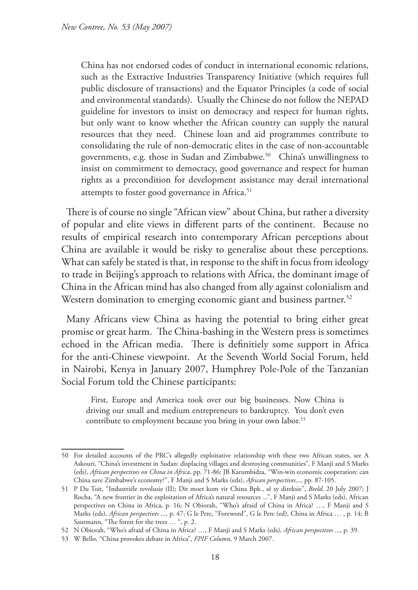China has not endorsed codes of conduct in international economic relations, such as the Extractive Industries Transparency Initiative (which requires full public disclosure of transactions) and the Equator Principles (a code of social and environmental standards). Usually the Chinese do not follow the NEPAD guideline for investors to insist on democracy and respect for human rights, but only want to know whether the African country can supply the natural resources that they need. Chinese loan and aid programmes contribute to consolidating the rule of non-democratic elites in the case of non-accountable governments, e.g. those in Sudan and Zimbabwe.<sup>50</sup> China's unwillingness to insist on commitment to democracy, good governance and respect for human rights as a precondition for development assistance may derail international attempts to foster good governance in Africa.<sup>51</sup>

There is of course no single "African view" about China, but rather a diversity of popular and elite views in different parts of the continent. Because no results of empirical research into contemporary African perceptions about China are available it would be risky to generalise about these perceptions. What can safely be stated is that, in response to the shift in focus from ideology to trade in Beijing's approach to relations with Africa, the dominant image of China in the African mind has also changed from ally against colonialism and Western domination to emerging economic giant and business partner.<sup>52</sup>

Many Africans view China as having the potential to bring either great promise or great harm. The China-bashing in the Western press is sometimes echoed in the African media. There is definitiely some support in Africa for the anti-Chinese viewpoint. At the Seventh World Social Forum, held in Nairobi, Kenya in January 2007, Humphrey Pole-Pole of the Tanzanian Social Forum told the Chinese participants:

First, Europe and America took over our big businesses. Now China is driving our small and medium entrepreneurs to bankruptcy. You don't even contribute to employment because you bring in your own labor.<sup>53</sup>

<sup>50</sup> For detailed accounts of the PRC's allegedly exploitative relationship with these two African states, see A Askouri, "China's investment in Sudan: displacing villages and destroying communities", F Manji and S Marks (eds), *African perspectives on China in Africa*, pp. 71-86; JB Karumbidza, "Win-win economic cooperation: can China save Zimbabwe's economy?", F Manji and S Marks (eds), *African perspectives*..., pp. 87-105.

<sup>51</sup> P Du Toit, "Industriële revolusie (II); Dit moet kom vir China Bpk., sê sy direksie", *Beeld*, 20 July 2007; J Rocha, "A new frontier in the exploitation of Africa's natural resources ...", F Manji and S Marks (eds), African perspectives on China in Africa, p. 16; N Obiorah, "Who's afraid of China in Africa? …, F Manji and S Marks (eds), *African perspectives* ..., p. 47; G le Pere, "Foreword", G le Pere (ed), China in Africa … , p. 14; B Sautmann, "The forest for the trees … ", p. 2.

<sup>52</sup> N Obiorah, "Who's afraid of China in Africa? …, F Manji and S Marks (eds), *African perspectives* ..., p. 39.

<sup>53</sup> W Bello, "China provokes debate in Africa", *FPIF Column*, 9 March 2007.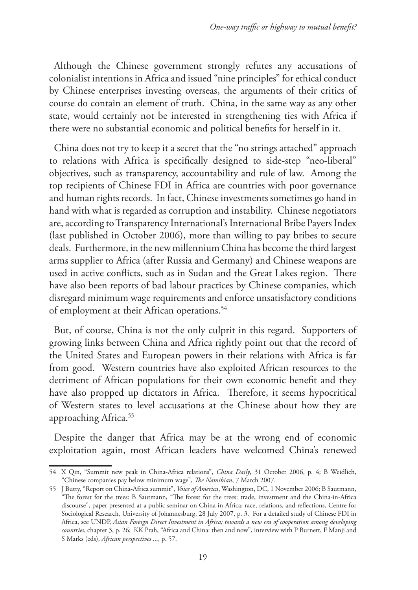Although the Chinese government strongly refutes any accusations of colonialist intentions in Africa and issued "nine principles" for ethical conduct by Chinese enterprises investing overseas, the arguments of their critics of course do contain an element of truth. China, in the same way as any other state, would certainly not be interested in strengthening ties with Africa if there were no substantial economic and political benefits for herself in it.

China does not try to keep it a secret that the "no strings attached" approach to relations with Africa is specifically designed to side-step "neo-liberal" objectives, such as transparency, accountability and rule of law. Among the top recipients of Chinese FDI in Africa are countries with poor governance and human rights records. In fact, Chinese investments sometimes go hand in hand with what is regarded as corruption and instability. Chinese negotiators are, according to Transparency International's International Bribe Payers Index (last published in October 2006), more than willing to pay bribes to secure deals. Furthermore, in the new millennium China has become the third largest arms supplier to Africa (after Russia and Germany) and Chinese weapons are used in active conflicts, such as in Sudan and the Great Lakes region. There have also been reports of bad labour practices by Chinese companies, which disregard minimum wage requirements and enforce unsatisfactory conditions of employment at their African operations.<sup>54</sup>

But, of course, China is not the only culprit in this regard. Supporters of growing links between China and Africa rightly point out that the record of the United States and European powers in their relations with Africa is far from good. Western countries have also exploited African resources to the detriment of African populations for their own economic benefit and they have also propped up dictators in Africa. Therefore, it seems hypocritical of Western states to level accusations at the Chinese about how they are approaching Africa.<sup>55</sup>

Despite the danger that Africa may be at the wrong end of economic exploitation again, most African leaders have welcomed China's renewed

<sup>54</sup> X Qin, "Summit new peak in China-Africa relations", *China Daily*, 31 October 2006, p. 4; B Weidlich, "Chinese companies pay below minimum wage", *The Namibian*, 7 March 2007.

<sup>55</sup> J Butty, "Report on China-Africa summit", *Voice of America*, Washington, DC, 1 November 2006; B Sautmann, "The forest for the trees: B Sautmann, "The forest for the trees: trade, investment and the China-in-Africa discourse", paper presented at a public seminar on China in Africa: race, relations, and reflections, Centre for Sociological Research, University of Johannesburg, 28 July 2007, p. 3. For a detailed study of Chinese FDI in Africa, see UNDP, *Asian Foreign Direct Investment in Africa; towards a new era of cooperation among developing countries*, chapter 3, p. 26; KK Prah, "Africa and China: then and now", interview with P Burnett, F Manji and S Marks (eds), *African perspectives* ..., p. 57.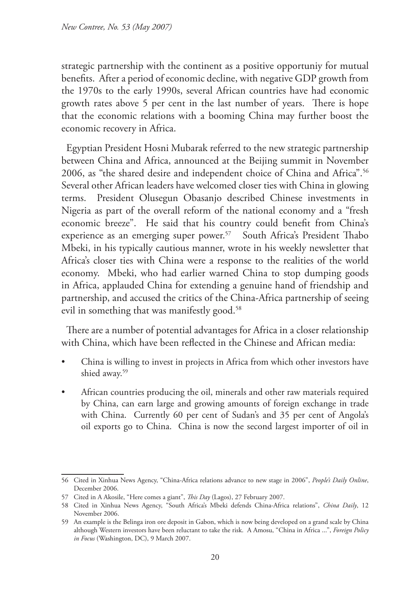strategic partnership with the continent as a positive opportuniy for mutual benefits. After a period of economic decline, with negative GDP growth from the 1970s to the early 1990s, several African countries have had economic growth rates above 5 per cent in the last number of years. There is hope that the economic relations with a booming China may further boost the economic recovery in Africa.

Egyptian President Hosni Mubarak referred to the new strategic partnership between China and Africa, announced at the Beijing summit in November 2006, as "the shared desire and independent choice of China and Africa".56 Several other African leaders have welcomed closer ties with China in glowing terms. President Olusegun Obasanjo described Chinese investments in Nigeria as part of the overall reform of the national economy and a "fresh economic breeze". He said that his country could benefit from China's experience as an emerging super power.<sup>57</sup> South Africa's President Thabo Mbeki, in his typically cautious manner, wrote in his weekly newsletter that Africa's closer ties with China were a response to the realities of the world economy. Mbeki, who had earlier warned China to stop dumping goods in Africa, applauded China for extending a genuine hand of friendship and partnership, and accused the critics of the China-Africa partnership of seeing evil in something that was manifestly good.<sup>58</sup>

There are a number of potential advantages for Africa in a closer relationship with China, which have been reflected in the Chinese and African media:

- China is willing to invest in projects in Africa from which other investors have shied away.59
- African countries producing the oil, minerals and other raw materials required by China, can earn large and growing amounts of foreign exchange in trade with China. Currently 60 per cent of Sudan's and 35 per cent of Angola's oil exports go to China. China is now the second largest importer of oil in

<sup>56</sup> Cited in Xinhua News Agency, "China-Africa relations advance to new stage in 2006", *People's Daily Online*, December 2006.

<sup>57</sup> Cited in A Akosile, "Here comes a giant", *This Day* (Lagos), 27 February 2007.

<sup>58</sup> Cited in Xinhua News Agency, "South Africa's Mbeki defends China-Africa relations", *China Daily*, 12 November 2006.

<sup>59</sup> An example is the Belinga iron ore deposit in Gabon, which is now being developed on a grand scale by China although Western investors have been reluctant to take the risk. A Amosu, "China in Africa ...", *Foreign Policy in Focus* (Washington, DC), 9 March 2007.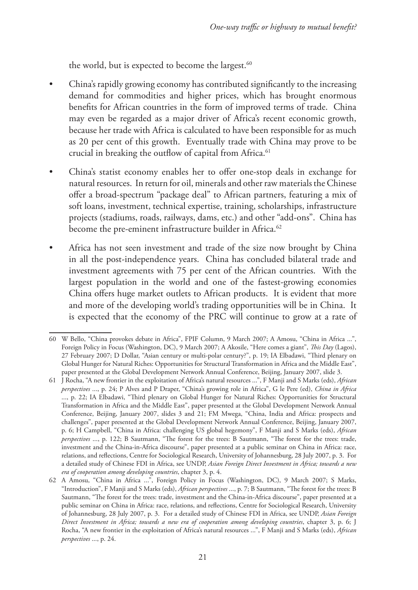the world, but is expected to become the largest.<sup>60</sup>

- China's rapidly growing economy has contributed significantly to the increasing demand for commodities and higher prices, which has brought enormous benefits for African countries in the form of improved terms of trade. China may even be regarded as a major driver of Africa's recent economic growth, because her trade with Africa is calculated to have been responsible for as much as 20 per cent of this growth. Eventually trade with China may prove to be crucial in breaking the outflow of capital from Africa.<sup>61</sup>
- China's statist economy enables her to offer one-stop deals in exchange for natural resources. In return for oil, minerals and other raw materials the Chinese offer a broad-spectrum "package deal" to African partners, featuring a mix of soft loans, investment, technical expertise, training, scholarships, infrastructure projects (stadiums, roads, railways, dams, etc.) and other "add-ons". China has become the pre-eminent infrastructure builder in Africa.<sup>62</sup>
- Africa has not seen investment and trade of the size now brought by China in all the post-independence years. China has concluded bilateral trade and investment agreements with 75 per cent of the African countries. With the largest population in the world and one of the fastest-growing economies China offers huge market outlets to African products. It is evident that more and more of the developing world's trading opportunities will be in China. It is expected that the economy of the PRC will continue to grow at a rate of

<sup>60</sup> W Bello, "China provokes debate in Africa", FPIF Column, 9 March 2007; A Amosu, "China in Africa ...", Foreign Policy in Focus (Washington, DC), 9 March 2007; A Akosile, "Here comes a giant", *This Day* (Lagos), 27 February 2007; D Dollar, "Asian century or multi-polar century?", p. 19; IA Elbadawi, "Third plenary on Global Hunger for Natural Riches: Opportunities for Structural Transformation in Africa and the Middle East", paper presented at the Global Development Network Annual Conference, Beijing, January 2007, slide 3.

<sup>61</sup> J Rocha, "A new frontier in the exploitation of Africa's natural resources ...", F Manji and S Marks (eds), *African perspectives* ..., p. 24; P Alves and P Draper, "China's growing role in Africa", G le Pere (ed), *China in Africa*  ..., p. 22; IA Elbadawi, "Third plenary on Global Hunger for Natural Riches: Opportunities for Structural Transformation in Africa and the Middle East", paper presented at the Global Development Network Annual Conference, Beijing, January 2007, slides 3 and 21; FM Mwega, "China, India and Africa: prospects and challenges", paper presented at the Global Development Network Annual Conference, Beijing, January 2007, p. 6; H Campbell, "China in Africa: challenging US global hegemony", F Manji and S Marks (eds), *African perspectives* ..., p. 122; B Sautmann, "The forest for the trees: B Sautmann, "The forest for the trees: trade, investment and the China-in-Africa discourse", paper presented at a public seminar on China in Africa: race, relations, and reflections, Centre for Sociological Research, University of Johannesburg, 28 July 2007, p. 3. For a detailed study of Chinese FDI in Africa, see UNDP, *Asian Foreign Direct Investment in Africa; towards a new era of cooperation among developing countries*, chapter 3, p. 4.

<sup>62</sup> A Amosu, "China in Africa ...", Foreign Policy in Focus (Washington, DC), 9 March 2007; S Marks, "Introduction", F Manji and S Marks (eds), *African perspectives* ..., p. 7; B Sautmann, "The forest for the trees: B Sautmann, "The forest for the trees: trade, investment and the China-in-Africa discourse", paper presented at a public seminar on China in Africa: race, relations, and reflections, Centre for Sociological Research, University of Johannesburg, 28 July 2007, p. 3. For a detailed study of Chinese FDI in Africa, see UNDP, *Asian Foreign Direct Investment in Africa; towards a new era of cooperation among developing countries*, chapter 3, p. 6; J Rocha, "A new frontier in the exploitation of Africa's natural resources ...", F Manji and S Marks (eds), *African perspectives* ..., p. 24.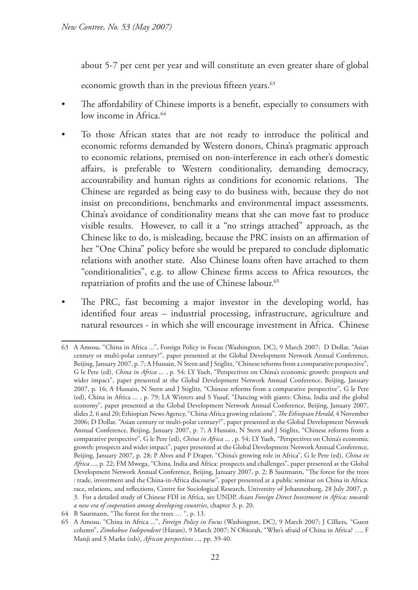about 5-7 per cent per year and will constitute an even greater share of global

economic growth than in the previous fifteen years.<sup>63</sup>

- The affordability of Chinese imports is a benefit, especially to consumers with low income in Africa.<sup>64</sup>
- To those African states that are not ready to introduce the political and economic reforms demanded by Western donors, China's pragmatic approach to economic relations, premised on non-interference in each other's domestic affairs, is preferable to Western conditionality, demanding democracy, accountability and human rights as conditions for economic relations. The Chinese are regarded as being easy to do business with, because they do not insist on preconditions, benchmarks and environmental impact assessments. China's avoidance of conditionality means that she can move fast to produce visible results. However, to call it a "no strings attached" approach, as the Chinese like to do, is misleading, because the PRC insists on an affirmation of her "One China" policy before she would be prepared to conclude diplomatic relations with another state. Also Chinese loans often have attached to them "conditionalities", e.g. to allow Chinese firms access to Africa resources, the repatriation of profits and the use of Chinese labour.<sup>65</sup>
- The PRC, fast becoming a major investor in the developing world, has identified four areas – industrial processing, infrastructure, agriculture and natural resources - in which she will encourage investment in Africa. Chinese

<sup>63</sup> A Amosu, "China in Africa ...", Foreign Policy in Focus (Washington, DC), 9 March 2007; D Dollar, "Asian century or multi-polar century?", paper presented at the Global Development Network Annual Conference, Beijing, January 2007, p. 7; A Hussain, N Stern and J Stiglitz, "Chinese reforms from a comparative perspective", G le Pere (ed), *China in Africa* ... , p. 54; LY Yueh, "Perspectives on China's economic growth: prospects and wider impact", paper presented at the Global Development Network Annual Conference, Beijing, January 2007, p. 16; A Hussain, N Stern and J Stiglitz, "Chinese reforms from a comparative perspective", G le Pere (ed), China in Africa ... , p. 79; LA Winters and S Yusuf, "Dancing with giants: China, India and the global economy", paper presented at the Global Development Network Annual Conference, Beijing, January 2007, slides 2, 6 and 20; Ethiopian News Agency, "China-Africa growing relations", *The Ethiopian Herald*, 4 November 2006; D Dollar, "Asian century or multi-polar century?", paper presented at the Global Development Network Annual Conference, Beijing, January 2007, p. 7; A Hussain, N Stern and J Stiglitz, "Chinese reforms from a comparative perspective", G le Pere (ed), *China in Africa* ... , p. 54; LY Yueh, "Perspectives on China's economic growth: prospects and wider impact", paper presented at the Global Development Network Annual Conference, Beijing, January 2007, p. 28; P Alves and P Draper, "China's growing role in Africa", G le Pere (ed), *China in Africa* ..., p. 22; FM Mwega, "China, India and Africa: prospects and challenges", paper presented at the Global Development Network Annual Conference, Beijing, January 2007, p. 2; B Sautmann, "The forest for the trees : trade, investment and the China-in-Africa discourse", paper presented at a public seminar on China in Africa: race, relations, and reflections, Centre for Sociological Research, University of Johannesburg, 28 July 2007, p. 3. For a detailed study of Chinese FDI in Africa, see UNDP, *Asian Foreign Direct Investment in Africa; towards a new era of cooperation among developing countries*, chapter 3, p. 20.

<sup>64</sup> B Sautmann, "The forest for the trees … ", p. 13.

<sup>65</sup> A Amosu, "China in Africa ...", *Foreign Policy in Focus* (Washington, DC), 9 March 2007; J Cilliers, "Guest column", *Zimbabwe Independent* (Harare), 9 March 2007; N Obiorah, "Who's afraid of China in Africa? …, F Manji and S Marks (eds), *African perspectives* ..., pp. 39-40.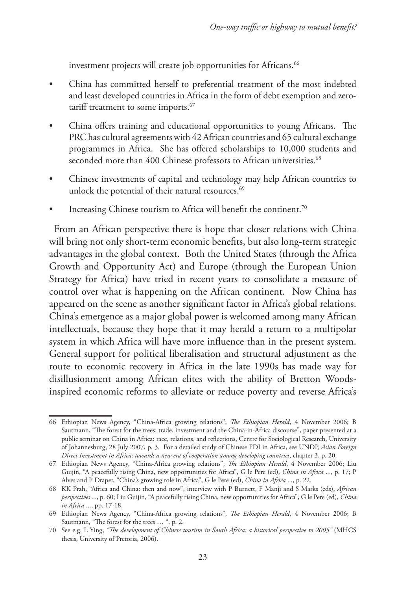investment projects will create job opportunities for Africans.<sup>66</sup>

- China has committed herself to preferential treatment of the most indebted and least developed countries in Africa in the form of debt exemption and zerotariff treatment to some imports.<sup>67</sup>
- China offers training and educational opportunities to young Africans. The PRC has cultural agreements with 42 African countries and 65 cultural exchange programmes in Africa. She has offered scholarships to 10,000 students and seconded more than 400 Chinese professors to African universities.<sup>68</sup>
- Chinese investments of capital and technology may help African countries to unlock the potential of their natural resources.<sup>69</sup>
- Increasing Chinese tourism to Africa will benefit the continent.<sup>70</sup>

From an African perspective there is hope that closer relations with China will bring not only short-term economic benefits, but also long-term strategic advantages in the global context. Both the United States (through the Africa Growth and Opportunity Act) and Europe (through the European Union Strategy for Africa) have tried in recent years to consolidate a measure of control over what is happening on the African continent. Now China has appeared on the scene as another significant factor in Africa's global relations. China's emergence as a major global power is welcomed among many African intellectuals, because they hope that it may herald a return to a multipolar system in which Africa will have more influence than in the present system. General support for political liberalisation and structural adjustment as the route to economic recovery in Africa in the late 1990s has made way for disillusionment among African elites with the ability of Bretton Woodsinspired economic reforms to alleviate or reduce poverty and reverse Africa's

<sup>66</sup> Ethiopian News Agency, "China-Africa growing relations", *The Ethiopian Herald*, 4 November 2006; B Sautmann, "The forest for the trees: trade, investment and the China-in-Africa discourse", paper presented at a public seminar on China in Africa: race, relations, and reflections, Centre for Sociological Research, University of Johannesburg, 28 July 2007, p. 3. For a detailed study of Chinese FDI in Africa, see UNDP, *Asian Foreign Direct Investment in Africa; towards a new era of cooperation among developing countries*, chapter 3, p. 20.

<sup>67</sup> Ethiopian News Agency, "China-Africa growing relations", *The Ethiopian Herald*, 4 November 2006; Liu Guijin, "A peacefully rising China, new opportunities for Africa", G le Pere (ed), *China in Africa* ..., p. 17; P Alves and P Draper, "China's growing role in Africa", G le Pere (ed), *China in Africa* ..., p. 22.

<sup>68</sup> KK Prah, "Africa and China: then and now", interview with P Burnett, F Manji and S Marks (eds), *African perspectives* ..., p. 60; Liu Guijin, "A peacefully rising China, new opportunities for Africa", G le Pere (ed), *China in Africa* ..., pp. 17-18.

<sup>69</sup> Ethiopian News Agency, "China-Africa growing relations", *The Ethiopian Herald*, 4 November 2006; B Sautmann, "The forest for the trees … ", p. 2.

<sup>70</sup> See e.g. L Ying, *"The development of Chinese tourism in South Africa: a historical perspective to 2005"* (MHCS thesis, University of Pretoria, 2006).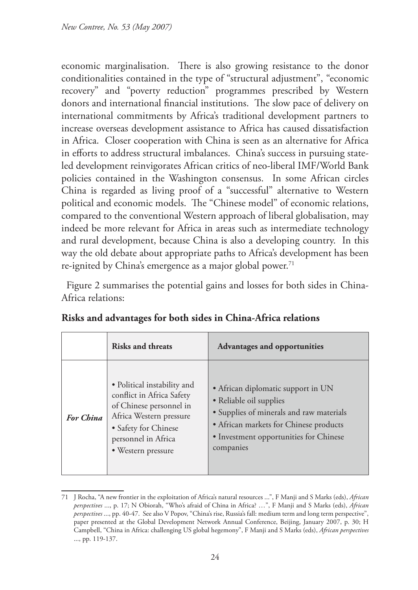economic marginalisation. There is also growing resistance to the donor conditionalities contained in the type of "structural adjustment", "economic recovery" and "poverty reduction" programmes prescribed by Western donors and international financial institutions. The slow pace of delivery on international commitments by Africa's traditional development partners to increase overseas development assistance to Africa has caused dissatisfaction in Africa. Closer cooperation with China is seen as an alternative for Africa in efforts to address structural imbalances. China's success in pursuing stateled development reinvigorates African critics of neo-liberal IMF/World Bank policies contained in the Washington consensus. In some African circles China is regarded as living proof of a "successful" alternative to Western political and economic models. The "Chinese model" of economic relations, compared to the conventional Western approach of liberal globalisation, may indeed be more relevant for Africa in areas such as intermediate technology and rural development, because China is also a developing country. In this way the old debate about appropriate paths to Africa's development has been re-ignited by China's emergence as a major global power.<sup>71</sup>

Figure 2 summarises the potential gains and losses for both sides in China-Africa relations:

|                  | Risks and threats                                                                                                                                                                   | <b>Advantages and opportunities</b>                                                                                                                                                                        |
|------------------|-------------------------------------------------------------------------------------------------------------------------------------------------------------------------------------|------------------------------------------------------------------------------------------------------------------------------------------------------------------------------------------------------------|
| <b>For China</b> | • Political instability and<br>conflict in Africa Safety<br>of Chinese personnel in<br>Africa Western pressure<br>• Safety for Chinese<br>personnel in Africa<br>• Western pressure | • African diplomatic support in UN<br>• Reliable oil supplies<br>• Supplies of minerals and raw materials<br>• African markets for Chinese products<br>• Investment opportunities for Chinese<br>companies |

|  |  |  |  | Risks and advantages for both sides in China-Africa relations |  |
|--|--|--|--|---------------------------------------------------------------|--|
|--|--|--|--|---------------------------------------------------------------|--|

<sup>71</sup> J Rocha, "A new frontier in the exploitation of Africa's natural resources ...", F Manji and S Marks (eds), *African perspectives* ..., p. 17; N Obiorah, "Who's afraid of China in Africa? …", F Manji and S Marks (eds), *African perspectives* ..., pp. 40-47. See also V Popov, "China's rise, Russia's fall: medium term and long term perspective", paper presented at the Global Development Network Annual Conference, Beijing, January 2007, p. 30; H Campbell, "China in Africa: challenging US global hegemony", F Manji and S Marks (eds), *African perspectives* ..., pp. 119-137.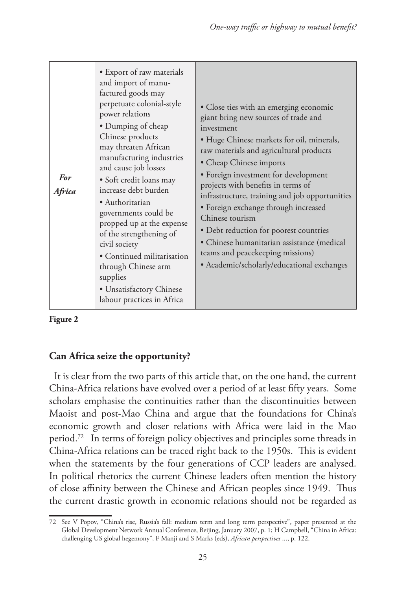| • Export of raw materials<br>and import of manu-<br>factured goods may<br>perpetuate colonial-style<br>power relations<br>• Dumping of cheap<br>Chinese products<br>may threaten African<br>manufacturing industries<br>and cause job losses<br><b>For</b><br>• Soft credit loans may<br>increase debt burden<br>Africa<br>· Authoritarian<br>governments could be<br>propped up at the expense<br>of the strengthening of<br>civil society<br>• Continued militarisation<br>through Chinese arm<br>supplies<br>• Unsatisfactory Chinese<br>labour practices in Africa | • Close ties with an emerging economic<br>giant bring new sources of trade and<br>investment<br>• Huge Chinese markets for oil, minerals,<br>raw materials and agricultural products<br>• Cheap Chinese imports<br>• Foreign investment for development<br>projects with benefits in terms of<br>infrastructure, training and job opportunities<br>• Foreign exchange through increased<br>Chinese tourism<br>· Debt reduction for poorest countries<br>• Chinese humanitarian assistance (medical<br>teams and peacekeeping missions)<br>• Academic/scholarly/educational exchanges |
|------------------------------------------------------------------------------------------------------------------------------------------------------------------------------------------------------------------------------------------------------------------------------------------------------------------------------------------------------------------------------------------------------------------------------------------------------------------------------------------------------------------------------------------------------------------------|--------------------------------------------------------------------------------------------------------------------------------------------------------------------------------------------------------------------------------------------------------------------------------------------------------------------------------------------------------------------------------------------------------------------------------------------------------------------------------------------------------------------------------------------------------------------------------------|
|------------------------------------------------------------------------------------------------------------------------------------------------------------------------------------------------------------------------------------------------------------------------------------------------------------------------------------------------------------------------------------------------------------------------------------------------------------------------------------------------------------------------------------------------------------------------|--------------------------------------------------------------------------------------------------------------------------------------------------------------------------------------------------------------------------------------------------------------------------------------------------------------------------------------------------------------------------------------------------------------------------------------------------------------------------------------------------------------------------------------------------------------------------------------|

**Figure 2**

## **Can Africa seize the opportunity?**

It is clear from the two parts of this article that, on the one hand, the current China-Africa relations have evolved over a period of at least fifty years. Some scholars emphasise the continuities rather than the discontinuities between Maoist and post-Mao China and argue that the foundations for China's economic growth and closer relations with Africa were laid in the Mao period.72 In terms of foreign policy objectives and principles some threads in China-Africa relations can be traced right back to the 1950s. This is evident when the statements by the four generations of CCP leaders are analysed. In political rhetorics the current Chinese leaders often mention the history of close affinity between the Chinese and African peoples since 1949. Thus the current drastic growth in economic relations should not be regarded as

<sup>72</sup> See V Popov, "China's rise, Russia's fall: medium term and long term perspective", paper presented at the Global Development Network Annual Conference, Beijing, January 2007, p. 1; H Campbell, "China in Africa: challenging US global hegemony", F Manji and S Marks (eds), *African perspectives* ..., p. 122.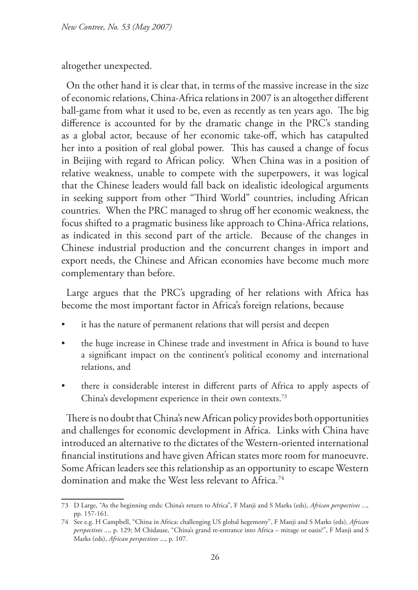altogether unexpected.

On the other hand it is clear that, in terms of the massive increase in the size of economic relations, China-Africa relations in 2007 is an altogether different ball-game from what it used to be, even as recently as ten years ago. The big difference is accounted for by the dramatic change in the PRC's standing as a global actor, because of her economic take-off, which has catapulted her into a position of real global power. This has caused a change of focus in Beijing with regard to African policy. When China was in a position of relative weakness, unable to compete with the superpowers, it was logical that the Chinese leaders would fall back on idealistic ideological arguments in seeking support from other "Third World" countries, including African countries. When the PRC managed to shrug off her economic weakness, the focus shifted to a pragmatic business like approach to China-Africa relations, as indicated in this second part of the article. Because of the changes in Chinese industrial production and the concurrent changes in import and export needs, the Chinese and African economies have become much more complementary than before.

Large argues that the PRC's upgrading of her relations with Africa has become the most important factor in Africa's foreign relations, because

- it has the nature of permanent relations that will persist and deepen
- the huge increase in Chinese trade and investment in Africa is bound to have a significant impact on the continent's political economy and international relations, and
- there is considerable interest in different parts of Africa to apply aspects of China's development experience in their own contexts.73

There is no doubt that China's new African policy provides both opportunities and challenges for economic development in Africa. Links with China have introduced an alternative to the dictates of the Western-oriented international financial institutions and have given African states more room for manoeuvre. Some African leaders see this relationship as an opportunity to escape Western domination and make the West less relevant to Africa.<sup>74</sup>

<sup>73</sup> D Large, "As the beginning ends: China's return to Africa", F Manji and S Marks (eds), *African perspectives* ..., pp. 157-161.

<sup>74</sup> See e.g. H Campbell, "China in Africa: challenging US global hegemony", F Manji and S Marks (eds), *African perspectives* ..., p. 129; M Chidause, "China's grand re-entrance into Africa – mirage or oasis?", F Manji and S Marks (eds), *African perspectives* ..., p. 107.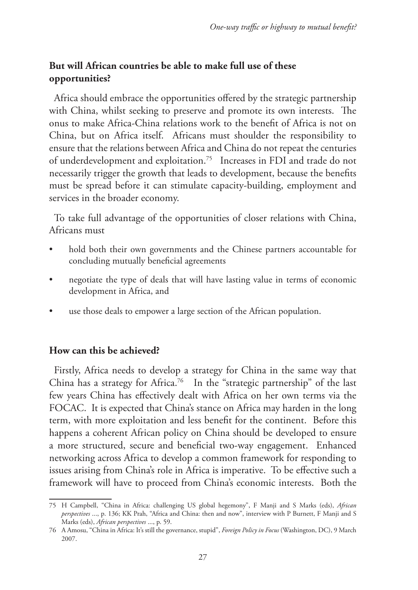# **But will African countries be able to make full use of these opportunities?**

Africa should embrace the opportunities offered by the strategic partnership with China, whilst seeking to preserve and promote its own interests. The onus to make Africa-China relations work to the benefit of Africa is not on China, but on Africa itself. Africans must shoulder the responsibility to ensure that the relations between Africa and China do not repeat the centuries of underdevelopment and exploitation.75 Increases in FDI and trade do not necessarily trigger the growth that leads to development, because the benefits must be spread before it can stimulate capacity-building, employment and services in the broader economy.

To take full advantage of the opportunities of closer relations with China, Africans must

- hold both their own governments and the Chinese partners accountable for concluding mutually beneficial agreements
- negotiate the type of deals that will have lasting value in terms of economic development in Africa, and
- use those deals to empower a large section of the African population.

### **How can this be achieved?**

Firstly, Africa needs to develop a strategy for China in the same way that China has a strategy for Africa.<sup>76</sup> In the "strategic partnership" of the last few years China has effectively dealt with Africa on her own terms via the FOCAC. It is expected that China's stance on Africa may harden in the long term, with more exploitation and less benefit for the continent. Before this happens a coherent African policy on China should be developed to ensure a more structured, secure and beneficial two-way engagement. Enhanced networking across Africa to develop a common framework for responding to issues arising from China's role in Africa is imperative. To be effective such a framework will have to proceed from China's economic interests. Both the

<sup>75</sup> H Campbell, "China in Africa: challenging US global hegemony", F Manji and S Marks (eds), *African perspectives* ..., p. 136; KK Prah, "Africa and China: then and now", interview with P Burnett, F Manji and S Marks (eds), *African perspectives* ..., p. 59.

<sup>76</sup> A Amosu, "China in Africa: It's still the governance, stupid", *Foreign Policy in Focus* (Washington, DC), 9 March 2007.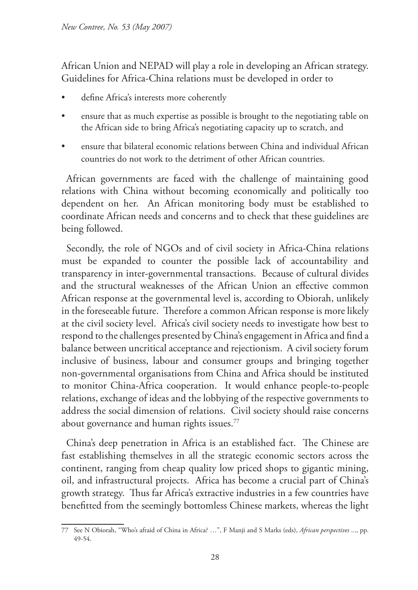African Union and NEPAD will play a role in developing an African strategy. Guidelines for Africa-China relations must be developed in order to

- define Africa's interests more coherently
- ensure that as much expertise as possible is brought to the negotiating table on the African side to bring Africa's negotiating capacity up to scratch, and
- ensure that bilateral economic relations between China and individual African countries do not work to the detriment of other African countries.

African governments are faced with the challenge of maintaining good relations with China without becoming economically and politically too dependent on her. An African monitoring body must be established to coordinate African needs and concerns and to check that these guidelines are being followed.

Secondly, the role of NGOs and of civil society in Africa-China relations must be expanded to counter the possible lack of accountability and transparency in inter-governmental transactions. Because of cultural divides and the structural weaknesses of the African Union an effective common African response at the governmental level is, according to Obiorah, unlikely in the foreseeable future. Therefore a common African response is more likely at the civil society level. Africa's civil society needs to investigate how best to respond to the challenges presented by China's engagement in Africa and find a balance between uncritical acceptance and rejectionism. A civil society forum inclusive of business, labour and consumer groups and bringing together non-governmental organisations from China and Africa should be instituted to monitor China-Africa cooperation. It would enhance people-to-people relations, exchange of ideas and the lobbying of the respective governments to address the social dimension of relations. Civil society should raise concerns about governance and human rights issues.<sup>77</sup>

China's deep penetration in Africa is an established fact. The Chinese are fast establishing themselves in all the strategic economic sectors across the continent, ranging from cheap quality low priced shops to gigantic mining, oil, and infrastructural projects. Africa has become a crucial part of China's growth strategy. Thus far Africa's extractive industries in a few countries have benefitted from the seemingly bottomless Chinese markets, whereas the light

<sup>77</sup> See N Obiorah, "Who's afraid of China in Africa? …", F Manji and S Marks (eds), *African perspectives* ..., pp. 49-54.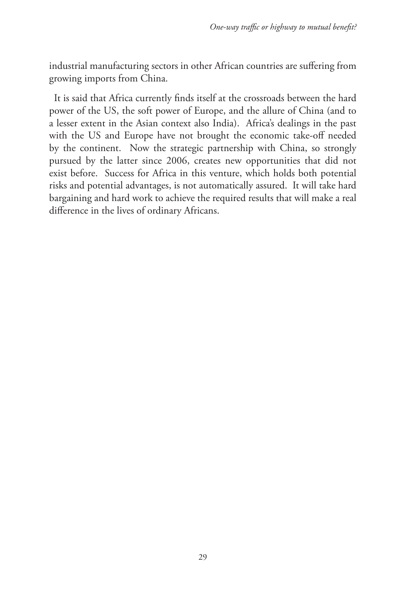industrial manufacturing sectors in other African countries are suffering from growing imports from China.

It is said that Africa currently finds itself at the crossroads between the hard power of the US, the soft power of Europe, and the allure of China (and to a lesser extent in the Asian context also India). Africa's dealings in the past with the US and Europe have not brought the economic take-off needed by the continent. Now the strategic partnership with China, so strongly pursued by the latter since 2006, creates new opportunities that did not exist before. Success for Africa in this venture, which holds both potential risks and potential advantages, is not automatically assured. It will take hard bargaining and hard work to achieve the required results that will make a real difference in the lives of ordinary Africans.